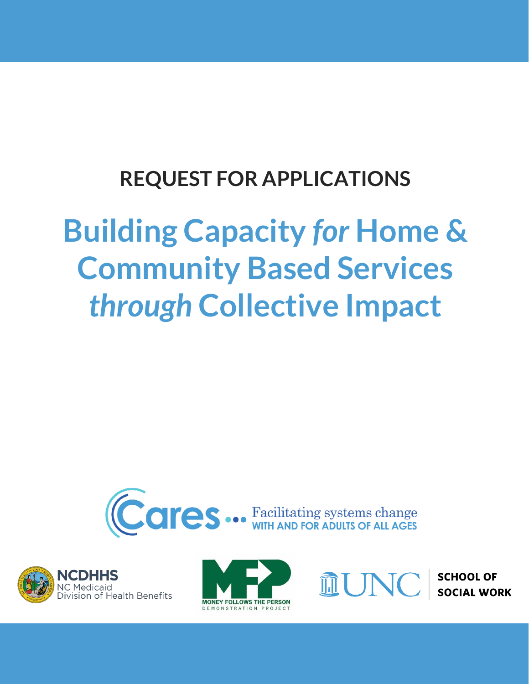## **REQUEST FOR APPLICATIONS**

# **Building Capacity** *for* **Home & Community Based Services**  *through* **Collective Impact**









**SCHOOL OF SOCIAL WORK**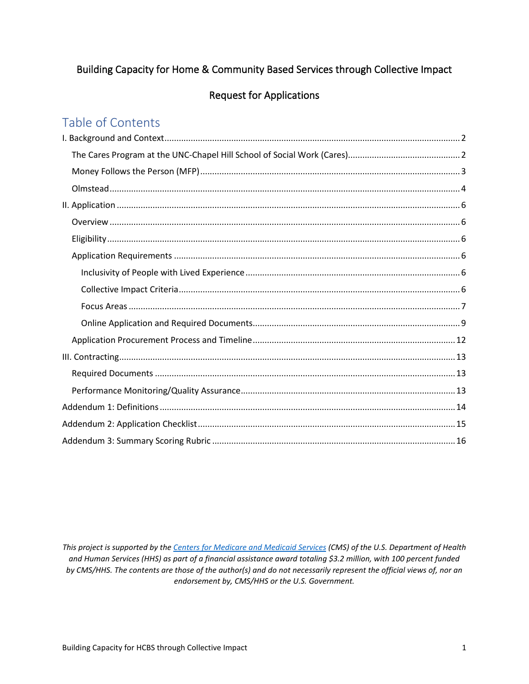## Building Capacity for Home & Community Based Services through Collective Impact

#### **Request for Applications**

## Table of Contents

This project is supported by the Centers for Medicare and Medicaid Services (CMS) of the U.S. Department of Health and Human Services (HHS) as part of a financial assistance award totaling \$3.2 million, with 100 percent funded by CMS/HHS. The contents are those of the author(s) and do not necessarily represent the official views of, nor an endorsement by, CMS/HHS or the U.S. Government.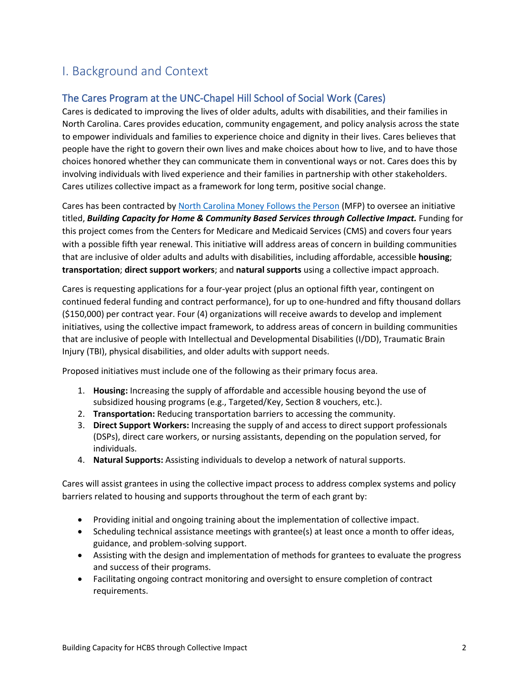## <span id="page-2-0"></span>I. Background and Context

#### <span id="page-2-1"></span>The Cares Program at the UNC-Chapel Hill School of Social Work (Cares)

Cares is dedicated to improving the lives of older adults, adults with disabilities, and their families in North Carolina. Cares provides education, community engagement, and policy analysis across the state to empower individuals and families to experience choice and dignity in their lives. Cares believes that people have the right to govern their own lives and make choices about how to live, and to have those choices honored whether they can communicate them in conventional ways or not. Cares does this by involving individuals with lived experience and their families in partnership with other stakeholders. Cares utilizes collective impact as a framework for long term, positive social change.

Cares has been contracted by [North Carolina Money Follows the Person](https://medicaid.ncdhhs.gov/providers/programs-and-services/long-term-care/money-follows-person) (MFP) to oversee an initiative titled, *Building Capacity for Home & Community Based Services through Collective Impact.* Funding for this project comes from the Centers for Medicare and Medicaid Services (CMS) and covers four years with a possible fifth year renewal. This initiative will address areas of concern in building communities that are inclusive of older adults and adults with disabilities, including affordable, accessible **housing**; **transportation**; **direct support workers**; and **natural supports** using a collective impact approach.

Cares is requesting applications for a four-year project (plus an optional fifth year, contingent on continued federal funding and contract performance), for up to one-hundred and fifty thousand dollars (\$150,000) per contract year. Four (4) organizations will receive awards to develop and implement initiatives, using the collective impact framework, to address areas of concern in building communities that are inclusive of people with Intellectual and Developmental Disabilities (I/DD), Traumatic Brain Injury (TBI), physical disabilities, and older adults with support needs.

Proposed initiatives must include one of the following as their primary focus area.

- 1. **Housing:** Increasing the supply of affordable and accessible housing beyond the use of subsidized housing programs (e.g., Targeted/Key, Section 8 vouchers, etc.).
- 2. **Transportation:** Reducing transportation barriers to accessing the community.
- 3. **Direct Support Workers:** Increasing the supply of and access to direct support professionals (DSPs), direct care workers, or nursing assistants, depending on the population served, for individuals.
- 4. **Natural Supports:** Assisting individuals to develop a network of natural supports.

Cares will assist grantees in using the collective impact process to address complex systems and policy barriers related to housing and supports throughout the term of each grant by:

- Providing initial and ongoing training about the implementation of collective impact.
- Scheduling technical assistance meetings with grantee(s) at least once a month to offer ideas, guidance, and problem-solving support.
- Assisting with the design and implementation of methods for grantees to evaluate the progress and success of their programs.
- Facilitating ongoing contract monitoring and oversight to ensure completion of contract requirements.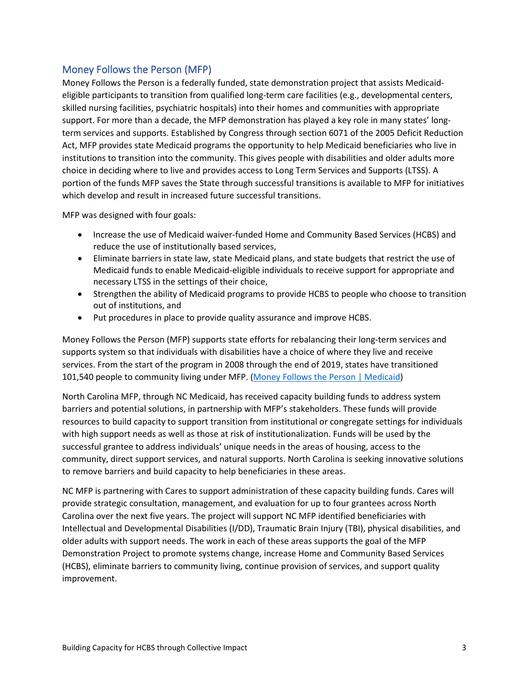#### <span id="page-3-0"></span>Money Follows the Person (MFP)

Money Follows the Person is a federally funded, state demonstration project that assists Medicaideligible participants to transition from qualified long-term care facilities (e.g., developmental centers, skilled nursing facilities, psychiatric hospitals) into their homes and communities with appropriate support. For more than a decade, the MFP demonstration has played a key role in many states' longterm services and supports. Established by Congress through section 6071 of the 2005 Deficit Reduction Act, MFP provides state Medicaid programs the opportunity to help Medicaid beneficiaries who live in institutions to transition into the community. This gives people with disabilities and older adults more choice in deciding where to live and provides access to Long Term Services and Supports (LTSS). A portion of the funds MFP saves the State through successful transitions is available to MFP for initiatives which develop and result in increased future successful transitions.

MFP was designed with four goals:

- Increase the use of Medicaid waiver-funded Home and Community Based Services (HCBS) and reduce the use of institutionally based services,
- Eliminate barriers in state law, state Medicaid plans, and state budgets that restrict the use of Medicaid funds to enable Medicaid-eligible individuals to receive support for appropriate and necessary LTSS in the settings of their choice,
- Strengthen the ability of Medicaid programs to provide HCBS to people who choose to transition out of institutions, and
- Put procedures in place to provide quality assurance and improve HCBS.

Money Follows the Person (MFP) supports state efforts for rebalancing their long-term services and supports system so that individuals with disabilities have a choice of where they live and receive services. From the start of the program in 2008 through the end of 2019, states have transitioned 101,540 people to community living under MFP. [\(Money Follows the Person | Medicaid\)](https://www.medicaid.gov/medicaid/long-term-services-supports/money-follows-person/index.html)

North Carolina MFP, through NC Medicaid, has received capacity building funds to address system barriers and potential solutions, in partnership with MFP's stakeholders. These funds will provide resources to build capacity to support transition from institutional or congregate settings for individuals with high support needs as well as those at risk of institutionalization. Funds will be used by the successful grantee to address individuals' unique needs in the areas of housing, access to the community, direct support services, and natural supports. North Carolina is seeking innovative solutions to remove barriers and build capacity to help beneficiaries in these areas.

NC MFP is partnering with Cares to support administration of these capacity building funds. Cares will provide strategic consultation, management, and evaluation for up to four grantees across North Carolina over the next five years. The project will support NC MFP identified beneficiaries with Intellectual and Developmental Disabilities (I/DD), Traumatic Brain Injury (TBI), physical disabilities, and older adults with support needs. The work in each of these areas supports the goal of the MFP Demonstration Project to promote systems change, increase Home and Community Based Services (HCBS), eliminate barriers to community living, continue provision of services, and support quality improvement.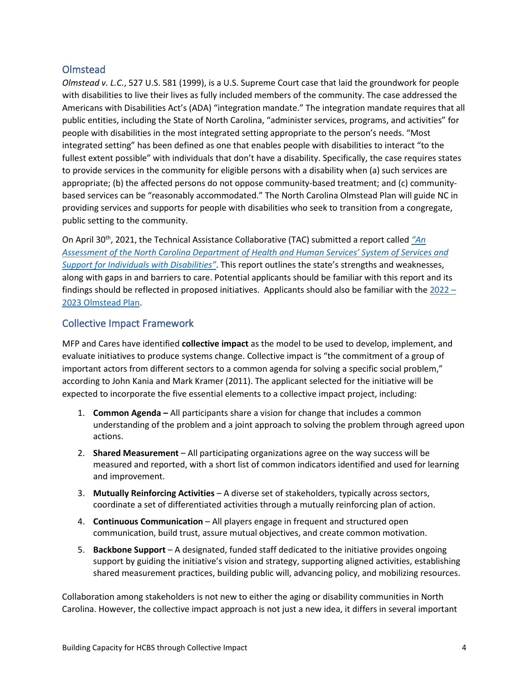#### <span id="page-4-0"></span>Olmstead

*Olmstead v. L.C.*, 527 U.S. 581 (1999), is a U.S. Supreme Court case that laid the groundwork for people with disabilities to live their lives as fully included members of the community. The case addressed the Americans with Disabilities Act's (ADA) "integration mandate." The integration mandate requires that all public entities, including the State of North Carolina, "administer services, programs, and activities" for people with disabilities in the most integrated setting appropriate to the person's needs. "Most integrated setting" has been defined as one that enables people with disabilities to interact "to the fullest extent possible" with individuals that don't have a disability. Specifically, the case requires states to provide services in the community for eligible persons with a disability when (a) such services are appropriate; (b) the affected persons do not oppose community-based treatment; and (c) communitybased services can be "reasonably accommodated." The North Carolina Olmstead Plan will guide NC in providing services and supports for people with disabilities who seek to transition from a congregate, public setting to the community.

On April 30th, 2021, the Technical Assistance Collaborative (TAC) submitted a report called *["An](https://www.ncdhhs.gov/media/12607/download?attachment)  [Assessment of the North Carolina Department of Health and Human Services' System of Services and](https://www.ncdhhs.gov/media/12607/download?attachment)  [Support for Individuals with Disabilities"](https://www.ncdhhs.gov/media/12607/download?attachment)*. This report outlines the state's strengths and weaknesses, along with gaps in and barriers to care. Potential applicants should be familiar with this report and its findings should be reflected in proposed initiatives. Applicants should also be familiar with th[e 2022 –](https://www.ncdhhs.gov/about/department-initiatives/nc-olmstead) [2023 Olmstead Plan.](https://www.ncdhhs.gov/about/department-initiatives/nc-olmstead)

#### Collective Impact Framework

MFP and Cares have identified **collective impact** as the model to be used to develop, implement, and evaluate initiatives to produce systems change. Collective impact is "the commitment of a group of important actors from different sectors to a common agenda for solving a specific social problem," according to John Kania and Mark Kramer (2011). The applicant selected for the initiative will be expected to incorporate the five essential elements to a collective impact project, including:

- 1. **Common Agenda –** All participants share a vision for change that includes a common understanding of the problem and a joint approach to solving the problem through agreed upon actions.
- 2. **Shared Measurement** All participating organizations agree on the way success will be measured and reported, with a short list of common indicators identified and used for learning and improvement.
- 3. **Mutually Reinforcing Activities** A diverse set of stakeholders, typically across sectors, coordinate a set of differentiated activities through a mutually reinforcing plan of action.
- 4. **Continuous Communication** All players engage in frequent and structured open communication, build trust, assure mutual objectives, and create common motivation.
- 5. **Backbone Support** A designated, funded staff dedicated to the initiative provides ongoing support by guiding the initiative's vision and strategy, supporting aligned activities, establishing shared measurement practices, building public will, advancing policy, and mobilizing resources.

Collaboration among stakeholders is not new to either the aging or disability communities in North Carolina. However, the collective impact approach is not just a new idea, it differs in several important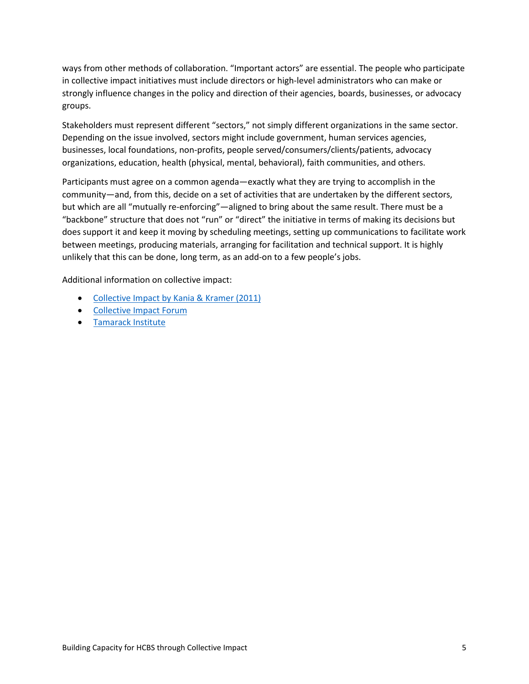ways from other methods of collaboration. "Important actors" are essential. The people who participate in collective impact initiatives must include directors or high-level administrators who can make or strongly influence changes in the policy and direction of their agencies, boards, businesses, or advocacy groups.

Stakeholders must represent different "sectors," not simply different organizations in the same sector. Depending on the issue involved, sectors might include government, human services agencies, businesses, local foundations, non-profits, people served/consumers/clients/patients, advocacy organizations, education, health (physical, mental, behavioral), faith communities, and others.

Participants must agree on a common agenda—exactly what they are trying to accomplish in the community—and, from this, decide on a set of activities that are undertaken by the different sectors, but which are all "mutually re-enforcing"—aligned to bring about the same result. There must be a "backbone" structure that does not "run" or "direct" the initiative in terms of making its decisions but does support it and keep it moving by scheduling meetings, setting up communications to facilitate work between meetings, producing materials, arranging for facilitation and technical support. It is highly unlikely that this can be done, long term, as an add-on to a few people's jobs.

Additional information on collective impact:

- [Collective Impact by Kania & Kramer \(2011\)](http://ssir.org/articles/entry/collective_impact)
- [Collective Impact Forum](http://www.collectiveimpactforum.org/resources)
- [Tamarack Institute](https://www.tamarackcommunity.ca/)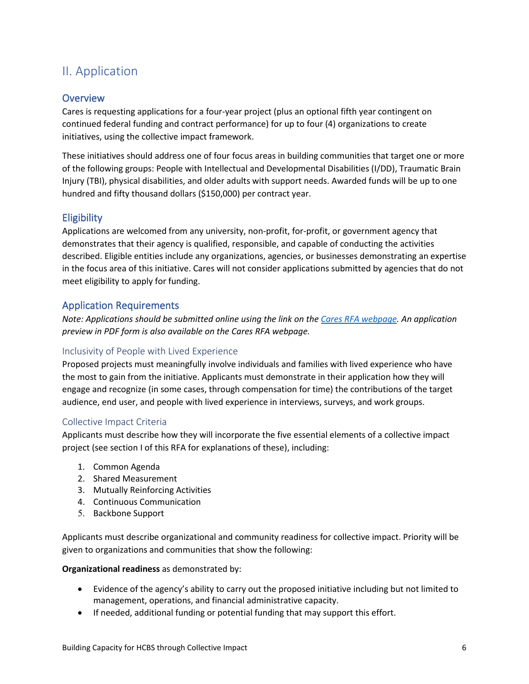## <span id="page-6-0"></span>II. Application

#### <span id="page-6-1"></span>**Overview**

Cares is requesting applications for a four-year project (plus an optional fifth year contingent on continued federal funding and contract performance) for up to four (4) organizations to create initiatives, using the collective impact framework.

These initiatives should address one of four focus areas in building communities that target one or more of the following groups: People with Intellectual and Developmental Disabilities (I/DD), Traumatic Brain Injury (TBI), physical disabilities, and older adults with support needs. Awarded funds will be up to one hundred and fifty thousand dollars (\$150,000) per contract year.

#### <span id="page-6-2"></span>**Eligibility**

Applications are welcomed from any university, non-profit, for-profit, or government agency that demonstrates that their agency is qualified, responsible, and capable of conducting the activities described. Eligible entities include any organizations, agencies, or businesses demonstrating an expertise in the focus area of this initiative. Cares will not consider applications submitted by agencies that do not meet eligibility to apply for funding.

#### <span id="page-6-3"></span>Application Requirements

*Note: Applications should be submitted online using the link on th[e Cares RFA webpage.](https://cares.unc.edu/mfp/rfa2022/) An application preview in PDF form is also available on the Cares RFA webpage.* 

#### <span id="page-6-4"></span>Inclusivity of People with Lived Experience

Proposed projects must meaningfully involve individuals and families with lived experience who have the most to gain from the initiative. Applicants must demonstrate in their application how they will engage and recognize (in some cases, through compensation for time) the contributions of the target audience, end user, and people with lived experience in interviews, surveys, and work groups.

#### <span id="page-6-5"></span>Collective Impact Criteria

Applicants must describe how they will incorporate the five essential elements of a collective impact project (see section I of this RFA for explanations of these), including:

- 1. Common Agenda
- 2. Shared Measurement
- 3. Mutually Reinforcing Activities
- 4. Continuous Communication
- 5. Backbone Support

Applicants must describe organizational and community readiness for collective impact. Priority will be given to organizations and communities that show the following:

#### **Organizational readiness** as demonstrated by:

- Evidence of the agency's ability to carry out the proposed initiative including but not limited to management, operations, and financial administrative capacity.
- If needed, additional funding or potential funding that may support this effort.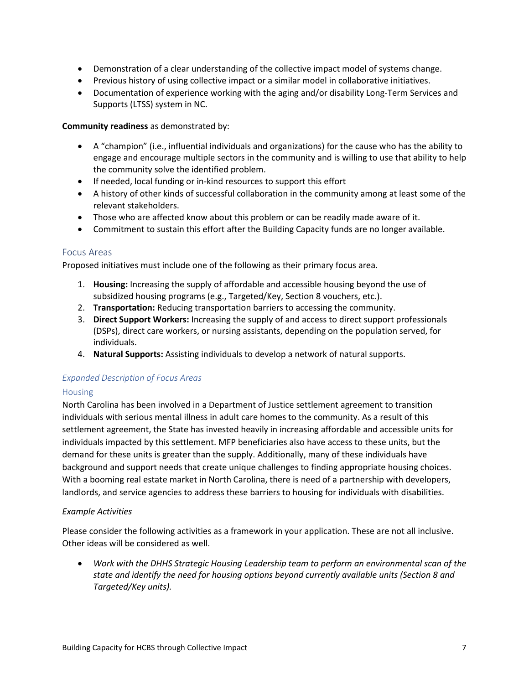- Demonstration of a clear understanding of the collective impact model of systems change.
- Previous history of using collective impact or a similar model in collaborative initiatives.
- Documentation of experience working with the aging and/or disability Long-Term Services and Supports (LTSS) system in NC.

#### **Community readiness** as demonstrated by:

- A "champion" (i.e., influential individuals and organizations) for the cause who has the ability to engage and encourage multiple sectors in the community and is willing to use that ability to help the community solve the identified problem.
- If needed, local funding or in-kind resources to support this effort
- A history of other kinds of successful collaboration in the community among at least some of the relevant stakeholders.
- Those who are affected know about this problem or can be readily made aware of it.
- Commitment to sustain this effort after the Building Capacity funds are no longer available.

#### <span id="page-7-0"></span>Focus Areas

Proposed initiatives must include one of the following as their primary focus area.

- 1. **Housing:** Increasing the supply of affordable and accessible housing beyond the use of subsidized housing programs (e.g., Targeted/Key, Section 8 vouchers, etc.).
- 2. **Transportation:** Reducing transportation barriers to accessing the community.
- 3. **Direct Support Workers:** Increasing the supply of and access to direct support professionals (DSPs), direct care workers, or nursing assistants, depending on the population served, for individuals.
- 4. **Natural Supports:** Assisting individuals to develop a network of natural supports.

#### *Expanded Description of Focus Areas*

#### Housing

North Carolina has been involved in a Department of Justice settlement agreement to transition individuals with serious mental illness in adult care homes to the community. As a result of this settlement agreement, the State has invested heavily in increasing affordable and accessible units for individuals impacted by this settlement. MFP beneficiaries also have access to these units, but the demand for these units is greater than the supply. Additionally, many of these individuals have background and support needs that create unique challenges to finding appropriate housing choices. With a booming real estate market in North Carolina, there is need of a partnership with developers, landlords, and service agencies to address these barriers to housing for individuals with disabilities.

#### *Example Activities*

Please consider the following activities as a framework in your application. These are not all inclusive. Other ideas will be considered as well.

• *Work with the DHHS Strategic Housing Leadership team to perform an environmental scan of the state and identify the need for housing options beyond currently available units (Section 8 and Targeted/Key units).*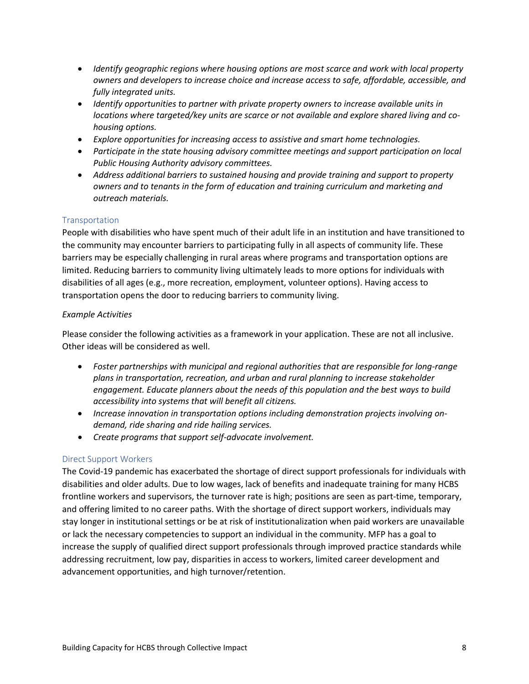- *Identify geographic regions where housing options are most scarce and work with local property owners and developers to increase choice and increase access to safe, affordable, accessible, and fully integrated units.*
- *Identify opportunities to partner with private property owners to increase available units in locations where targeted/key units are scarce or not available and explore shared living and cohousing options.*
- *Explore opportunities for increasing access to assistive and smart home technologies.*
- *Participate in the state housing advisory committee meetings and support participation on local Public Housing Authority advisory committees.*
- *Address additional barriers to sustained housing and provide training and support to property owners and to tenants in the form of education and training curriculum and marketing and outreach materials.*

#### **Transportation**

People with disabilities who have spent much of their adult life in an institution and have transitioned to the community may encounter barriers to participating fully in all aspects of community life. These barriers may be especially challenging in rural areas where programs and transportation options are limited. Reducing barriers to community living ultimately leads to more options for individuals with disabilities of all ages (e.g., more recreation, employment, volunteer options). Having access to transportation opens the door to reducing barriers to community living.

#### *Example Activities*

Please consider the following activities as a framework in your application. These are not all inclusive. Other ideas will be considered as well.

- *Foster partnerships with municipal and regional authorities that are responsible for long-range plans in transportation, recreation, and urban and rural planning to increase stakeholder engagement. Educate planners about the needs of this population and the best ways to build accessibility into systems that will benefit all citizens.*
- *Increase innovation in transportation options including demonstration projects involving ondemand, ride sharing and ride hailing services.*
- *Create programs that support self-advocate involvement.*

#### Direct Support Workers

The Covid-19 pandemic has exacerbated the shortage of direct support professionals for individuals with disabilities and older adults. Due to low wages, lack of benefits and inadequate training for many HCBS frontline workers and supervisors, the turnover rate is high; positions are seen as part-time, temporary, and offering limited to no career paths. With the shortage of direct support workers, individuals may stay longer in institutional settings or be at risk of institutionalization when paid workers are unavailable or lack the necessary competencies to support an individual in the community. MFP has a goal to increase the supply of qualified direct support professionals through improved practice standards while addressing recruitment, low pay, disparities in access to workers, limited career development and advancement opportunities, and high turnover/retention.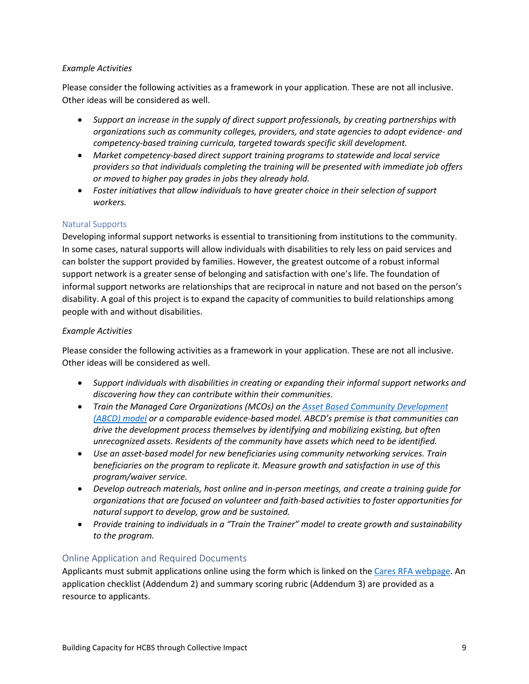#### *Example Activities*

Please consider the following activities as a framework in your application. These are not all inclusive. Other ideas will be considered as well.

- *Support an increase in the supply of direct support professionals, by creating partnerships with organizations such as community colleges, providers, and state agencies to adopt evidence- and competency-based training curricula, targeted towards specific skill development.*
- *Market competency-based direct support training programs to statewide and local service providers so that individuals completing the training will be presented with immediate job offers or moved to higher pay grades in jobs they already hold.*
- *Foster initiatives that allow individuals to have greater choice in their selection of support workers.*

#### Natural Supports

Developing informal support networks is essential to transitioning from institutions to the community. In some cases, natural supports will allow individuals with disabilities to rely less on paid services and can bolster the support provided by families. However, the greatest outcome of a robust informal support network is a greater sense of belonging and satisfaction with one's life. The foundation of informal support networks are relationships that are reciprocal in nature and not based on the person's disability. A goal of this project is to expand the capacity of communities to build relationships among people with and without disabilities.

#### *Example Activities*

Please consider the following activities as a framework in your application. These are not all inclusive. Other ideas will be considered as well.

- *Support individuals with disabilities in creating or expanding their informal support networks and discovering how they can contribute within their communities.*
- *Train the Managed Care Organizations (MCOs) on the [Asset Based Community Development](https://www.nurturedevelopment.org/asset-based-community-development/)  [\(ABCD\) model](https://www.nurturedevelopment.org/asset-based-community-development/) or a comparable evidence-based model. ABCD's premise is that communities can drive the development process themselves by identifying and mobilizing existing, but often unrecognized assets. Residents of the community have assets which need to be identified.*
- *Use an asset-based model for new beneficiaries using community networking services. Train beneficiaries on the program to replicate it. Measure growth and satisfaction in use of this program/waiver service.*
- *Develop outreach materials, host online and in-person meetings, and create a training guide for organizations that are focused on volunteer and faith-based activities to foster opportunities for natural support to develop, grow and be sustained.*
- *Provide training to individuals in a "Train the Trainer" model to create growth and sustainability to the program.*

#### <span id="page-9-0"></span>Online Application and Required Documents

Applicants must submit applications online using the form which is linked on the [Cares RFA webpage.](https://cares.unc.edu/mfp/rfa2022/) An application checklist (Addendum 2) and summary scoring rubric (Addendum 3) are provided as a resource to applicants.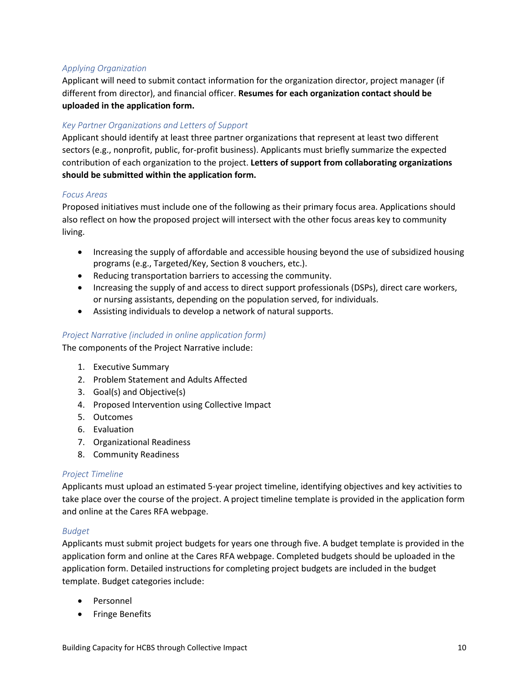#### *Applying Organization*

Applicant will need to submit contact information for the organization director, project manager (if different from director), and financial officer. **Resumes for each organization contact should be uploaded in the application form.**

#### *Key Partner Organizations and Letters of Support*

Applicant should identify at least three partner organizations that represent at least two different sectors (e.g., nonprofit, public, for-profit business). Applicants must briefly summarize the expected contribution of each organization to the project. **Letters of support from collaborating organizations should be submitted within the application form.** 

#### *Focus Areas*

Proposed initiatives must include one of the following as their primary focus area. Applications should also reflect on how the proposed project will intersect with the other focus areas key to community living.

- Increasing the supply of affordable and accessible housing beyond the use of subsidized housing programs (e.g., Targeted/Key, Section 8 vouchers, etc.).
- Reducing transportation barriers to accessing the community.
- Increasing the supply of and access to direct support professionals (DSPs), direct care workers, or nursing assistants, depending on the population served, for individuals.
- Assisting individuals to develop a network of natural supports.

#### *Project Narrative (included in online application form)*

The components of the Project Narrative include:

- 1. Executive Summary
- 2. Problem Statement and Adults Affected
- 3. Goal(s) and Objective(s)
- 4. Proposed Intervention using Collective Impact
- 5. Outcomes
- 6. Evaluation
- 7. Organizational Readiness
- 8. Community Readiness

#### *Project Timeline*

Applicants must upload an estimated 5-year project timeline, identifying objectives and key activities to take place over the course of the project. A project timeline template is provided in the application form and online at the Cares RFA webpage.

#### *Budget*

Applicants must submit project budgets for years one through five. A budget template is provided in the application form and online at the Cares RFA webpage. Completed budgets should be uploaded in the application form. Detailed instructions for completing project budgets are included in the budget template. Budget categories include:

- Personnel
- Fringe Benefits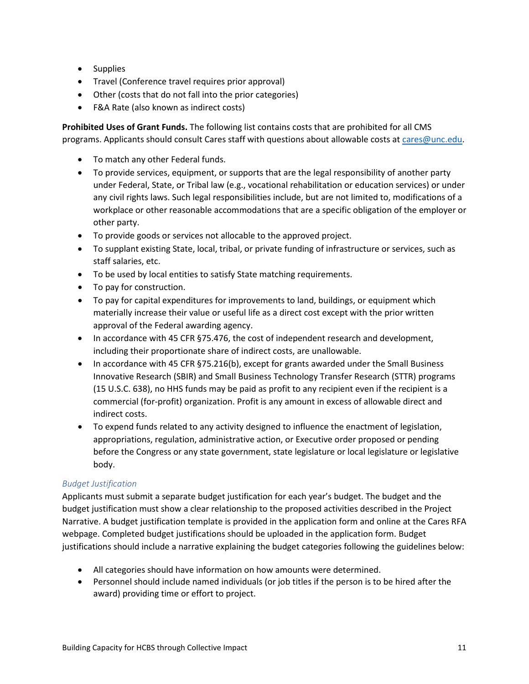- Supplies
- Travel (Conference travel requires prior approval)
- Other (costs that do not fall into the prior categories)
- F&A Rate (also known as indirect costs)

**Prohibited Uses of Grant Funds.** The following list contains costs that are prohibited for all CMS programs. Applicants should consult Cares staff with questions about allowable costs a[t cares@unc.edu.](mailto:cares@unc.edu)

- To match any other Federal funds.
- To provide services, equipment, or supports that are the legal responsibility of another party under Federal, State, or Tribal law (e.g., vocational rehabilitation or education services) or under any civil rights laws. Such legal responsibilities include, but are not limited to, modifications of a workplace or other reasonable accommodations that are a specific obligation of the employer or other party.
- To provide goods or services not allocable to the approved project.
- To supplant existing State, local, tribal, or private funding of infrastructure or services, such as staff salaries, etc.
- To be used by local entities to satisfy State matching requirements.
- To pay for construction.
- To pay for capital expenditures for improvements to land, buildings, or equipment which materially increase their value or useful life as a direct cost except with the prior written approval of the Federal awarding agency.
- In accordance with 45 CFR §75.476, the cost of independent research and development, including their proportionate share of indirect costs, are unallowable.
- In accordance with 45 CFR §75.216(b), except for grants awarded under the Small Business Innovative Research (SBIR) and Small Business Technology Transfer Research (STTR) programs (15 U.S.C. 638), no HHS funds may be paid as profit to any recipient even if the recipient is a commercial (for-profit) organization. Profit is any amount in excess of allowable direct and indirect costs.
- To expend funds related to any activity designed to influence the enactment of legislation, appropriations, regulation, administrative action, or Executive order proposed or pending before the Congress or any state government, state legislature or local legislature or legislative body.

#### *Budget Justification*

Applicants must submit a separate budget justification for each year's budget. The budget and the budget justification must show a clear relationship to the proposed activities described in the Project Narrative. A budget justification template is provided in the application form and online at the Cares RFA webpage. Completed budget justifications should be uploaded in the application form. Budget justifications should include a narrative explaining the budget categories following the guidelines below:

- All categories should have information on how amounts were determined.
- Personnel should include named individuals (or job titles if the person is to be hired after the award) providing time or effort to project.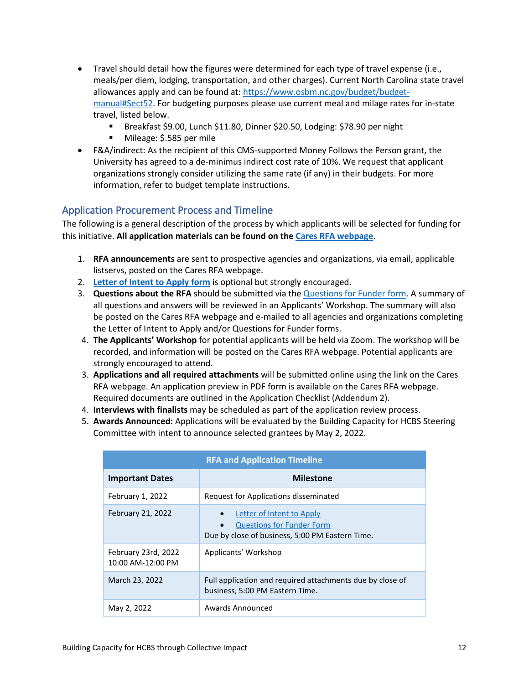- Travel should detail how the figures were determined for each type of travel expense (i.e., meals/per diem, lodging, transportation, and other charges). Current North Carolina state travel allowances apply and can be found at: [https://www.osbm.nc.gov/budget/budget](https://www.osbm.nc.gov/budget/budget-manual#Sect52)[manual#Sect52.](https://www.osbm.nc.gov/budget/budget-manual#Sect52) For budgeting purposes please use current meal and milage rates for in-state travel, listed below.
	- Breakfast \$9.00, Lunch \$11.80, Dinner \$20.50, Lodging: \$78.90 per night
	- Mileage: \$.585 per mile
- F&A/indirect: As the recipient of this CMS-supported Money Follows the Person grant, the University has agreed to a de-minimus indirect cost rate of 10%. We request that applicant organizations strongly consider utilizing the same rate (if any) in their budgets. For more information, refer to budget template instructions.

#### <span id="page-12-0"></span>Application Procurement Process and Timeline

The following is a general description of the process by which applicants will be selected for funding for this initiative. **All application materials can be found on the [Cares RFA webpage](https://cares.unc.edu/mfp/rfa2022/)**.

- 1. **RFA announcements** are sent to prospective agencies and organizations, via email, applicable listservs, posted on the Cares RFA webpage.
- 2. **[Letter of Intent](https://forms.office.com/r/WAsvgQKuby) to Apply form** is optional but strongly encouraged.
- 3. **Questions about the RFA** should be submitted via the [Questions for](https://forms.office.com/r/L8WbQSaxvE) Funder form. A summary of all questions and answers will be reviewed in an Applicants' Workshop. The summary will also be posted on the Cares RFA webpage and e-mailed to all agencies and organizations completing the Letter of Intent to Apply and/or Questions for Funder forms.
- 4. **The Applicants' Workshop** for potential applicants will be held via Zoom. The workshop will be recorded, and information will be posted on the Cares RFA webpage. Potential applicants are strongly encouraged to attend.
- 3. **Applications and all required attachments** will be submitted online using the link on the Cares RFA webpage. An application preview in PDF form is available on the Cares RFA webpage. Required documents are outlined in the Application Checklist (Addendum 2).
- 4. **Interviews with finalists** may be scheduled as part of the application review process.
- 5. **Awards Announced:** Applications will be evaluated by the Building Capacity for HCBS Steering Committee with intent to announce selected grantees by May 2, 2022.

| <b>RFA and Application Timeline</b>      |                                                                                                                                            |  |  |
|------------------------------------------|--------------------------------------------------------------------------------------------------------------------------------------------|--|--|
| <b>Important Dates</b>                   | <b>Milestone</b>                                                                                                                           |  |  |
| February 1, 2022                         | Request for Applications disseminated                                                                                                      |  |  |
| <b>February 21, 2022</b>                 | Letter of Intent to Apply<br>$\bullet$<br><b>Questions for Funder Form</b><br>$\bullet$<br>Due by close of business, 5:00 PM Eastern Time. |  |  |
| February 23rd, 2022<br>10:00 AM-12:00 PM | Applicants' Workshop                                                                                                                       |  |  |
| March 23, 2022                           | Full application and required attachments due by close of<br>business, 5:00 PM Eastern Time.                                               |  |  |
| May 2, 2022                              | Awards Announced                                                                                                                           |  |  |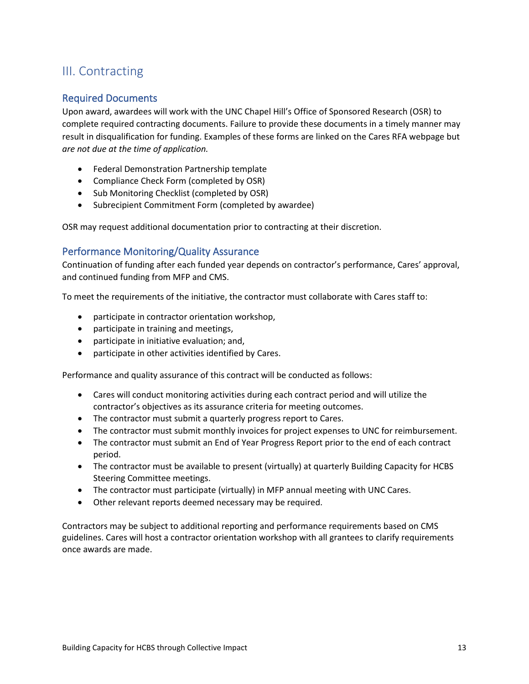## <span id="page-13-0"></span>III. Contracting

#### <span id="page-13-1"></span>Required Documents

Upon award, awardees will work with the UNC Chapel Hill's Office of Sponsored Research (OSR) to complete required contracting documents. Failure to provide these documents in a timely manner may result in disqualification for funding. Examples of these forms are linked on the Cares RFA webpage but *are not due at the time of application.*

- Federal Demonstration Partnership template
- Compliance Check Form (completed by OSR)
- Sub Monitoring Checklist (completed by OSR)
- Subrecipient Commitment Form (completed by awardee)

OSR may request additional documentation prior to contracting at their discretion.

#### <span id="page-13-2"></span>Performance Monitoring/Quality Assurance

Continuation of funding after each funded year depends on contractor's performance, Cares' approval, and continued funding from MFP and CMS.

To meet the requirements of the initiative, the contractor must collaborate with Cares staff to:

- participate in contractor orientation workshop,
- participate in training and meetings,
- participate in initiative evaluation; and,
- participate in other activities identified by Cares.

Performance and quality assurance of this contract will be conducted as follows:

- Cares will conduct monitoring activities during each contract period and will utilize the contractor's objectives as its assurance criteria for meeting outcomes.
- The contractor must submit a quarterly progress report to Cares.
- The contractor must submit monthly invoices for project expenses to UNC for reimbursement.
- The contractor must submit an End of Year Progress Report prior to the end of each contract period.
- The contractor must be available to present (virtually) at quarterly Building Capacity for HCBS Steering Committee meetings.
- The contractor must participate (virtually) in MFP annual meeting with UNC Cares.
- Other relevant reports deemed necessary may be required.

Contractors may be subject to additional reporting and performance requirements based on CMS guidelines. Cares will host a contractor orientation workshop with all grantees to clarify requirements once awards are made.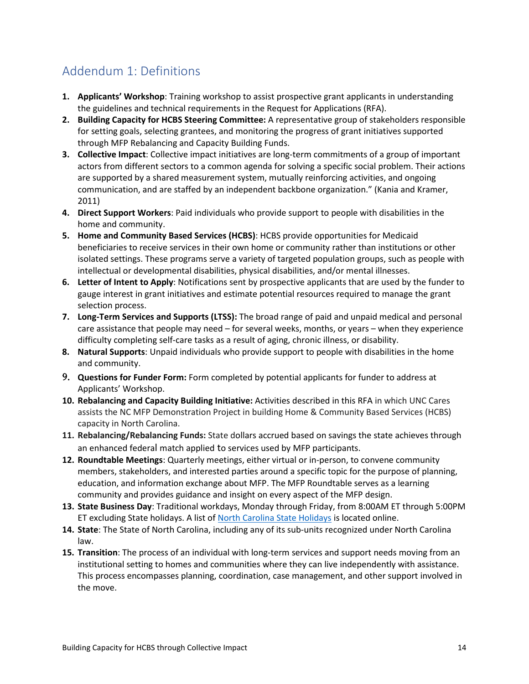## <span id="page-14-0"></span>Addendum 1: Definitions

- **1. Applicants' Workshop**: Training workshop to assist prospective grant applicants in understanding the guidelines and technical requirements in the Request for Applications (RFA).
- **2. Building Capacity for HCBS Steering Committee:** A representative group of stakeholders responsible for setting goals, selecting grantees, and monitoring the progress of grant initiatives supported through MFP Rebalancing and Capacity Building Funds.
- **3. Collective Impact**: Collective impact initiatives are long-term commitments of a group of important actors from different sectors to a common agenda for solving a specific social problem. Their actions are supported by a shared measurement system, mutually reinforcing activities, and ongoing communication, and are staffed by an independent backbone organization." (Kania and Kramer, 2011)
- **4. Direct Support Workers**: Paid individuals who provide support to people with disabilities in the home and community.
- **5. Home and Community Based Services (HCBS)**: HCBS provide opportunities for Medicaid beneficiaries to receive services in their own home or community rather than institutions or other isolated settings. These programs serve a variety of targeted population groups, such as people with intellectual or developmental disabilities, physical disabilities, and/or mental illnesses.
- **6. Letter of Intent to Apply**: Notifications sent by prospective applicants that are used by the funder to gauge interest in grant initiatives and estimate potential resources required to manage the grant selection process.
- **7. Long-Term Services and Supports (LTSS):** The broad range of paid and unpaid medical and personal care assistance that people may need – for several weeks, months, or years – when they experience difficulty completing self-care tasks as a result of aging, chronic illness, or disability.
- **8. Natural Supports**: Unpaid individuals who provide support to people with disabilities in the home and community.
- 9. **Questions for Funder Form:** Form completed by potential applicants for funder to address at Applicants' Workshop.
- **10. Rebalancing and Capacity Building Initiative:** Activities described in this RFA in which UNC Cares assists the NC MFP Demonstration Project in building Home & Community Based Services (HCBS) capacity in North Carolina.
- **11. Rebalancing/Rebalancing Funds:** State dollars accrued based on savings the state achieves through an enhanced federal match applied to services used by MFP participants.
- **12. Roundtable Meetings**: Quarterly meetings, either virtual or in-person, to convene community members, stakeholders, and interested parties around a specific topic for the purpose of planning, education, and information exchange about MFP. The MFP Roundtable serves as a learning community and provides guidance and insight on every aspect of the MFP design.
- **13. State Business Day**: Traditional workdays, Monday through Friday, from 8:00AM ET through 5:00PM ET excluding State holidays. A list of [North Carolina State Holidays](https://oshr.nc.gov/state-employee-resources/benefits/leave/holidays) is located online.
- **14. State**: The State of North Carolina, including any of its sub-units recognized under North Carolina law.
- **15. Transition**: The process of an individual with long-term services and support needs moving from an institutional setting to homes and communities where they can live independently with assistance. This process encompasses planning, coordination, case management, and other support involved in the move.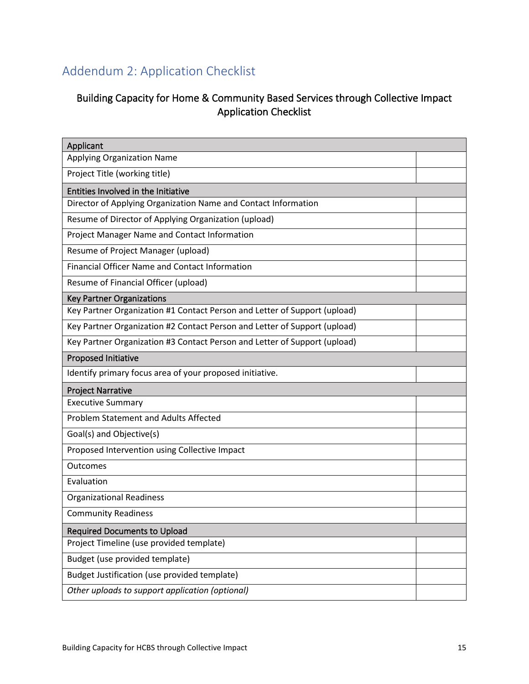## <span id="page-15-0"></span>Addendum 2: Application Checklist

## Building Capacity for Home & Community Based Services through Collective Impact Application Checklist

| Applicant                                                                 |  |
|---------------------------------------------------------------------------|--|
| <b>Applying Organization Name</b>                                         |  |
| Project Title (working title)                                             |  |
| Entities Involved in the Initiative                                       |  |
| Director of Applying Organization Name and Contact Information            |  |
| Resume of Director of Applying Organization (upload)                      |  |
| Project Manager Name and Contact Information                              |  |
| Resume of Project Manager (upload)                                        |  |
| <b>Financial Officer Name and Contact Information</b>                     |  |
| Resume of Financial Officer (upload)                                      |  |
| <b>Key Partner Organizations</b>                                          |  |
| Key Partner Organization #1 Contact Person and Letter of Support (upload) |  |
| Key Partner Organization #2 Contact Person and Letter of Support (upload) |  |
| Key Partner Organization #3 Contact Person and Letter of Support (upload) |  |
| <b>Proposed Initiative</b>                                                |  |
| Identify primary focus area of your proposed initiative.                  |  |
| <b>Project Narrative</b>                                                  |  |
| <b>Executive Summary</b>                                                  |  |
| <b>Problem Statement and Adults Affected</b>                              |  |
| Goal(s) and Objective(s)                                                  |  |
| Proposed Intervention using Collective Impact                             |  |
| Outcomes                                                                  |  |
| Evaluation                                                                |  |
| <b>Organizational Readiness</b>                                           |  |
| <b>Community Readiness</b>                                                |  |
| <b>Required Documents to Upload</b>                                       |  |
| Project Timeline (use provided template)                                  |  |
| Budget (use provided template)                                            |  |
| Budget Justification (use provided template)                              |  |
| Other uploads to support application (optional)                           |  |